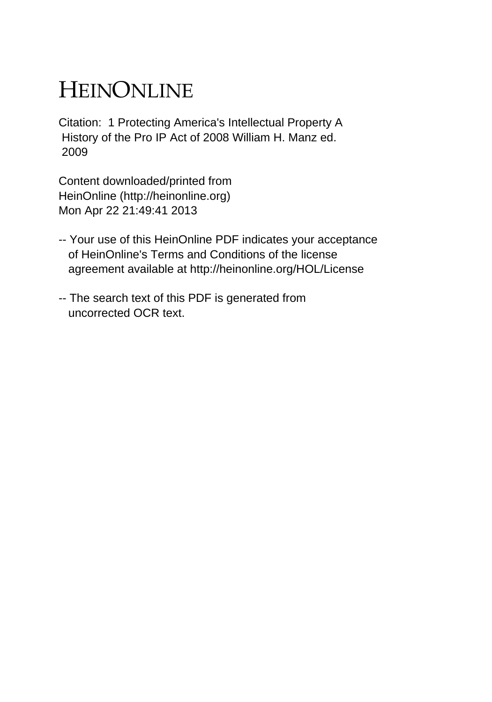# HEINONLINE

Citation: 1 Protecting America's Intellectual Property A History of the Pro IP Act of 2008 William H. Manz ed. 2009

Content downloaded/printed from HeinOnline (http://heinonline.org) Mon Apr 22 21:49:41 2013

- -- Your use of this HeinOnline PDF indicates your acceptance of HeinOnline's Terms and Conditions of the license agreement available at http://heinonline.org/HOL/License
- -- The search text of this PDF is generated from uncorrected OCR text.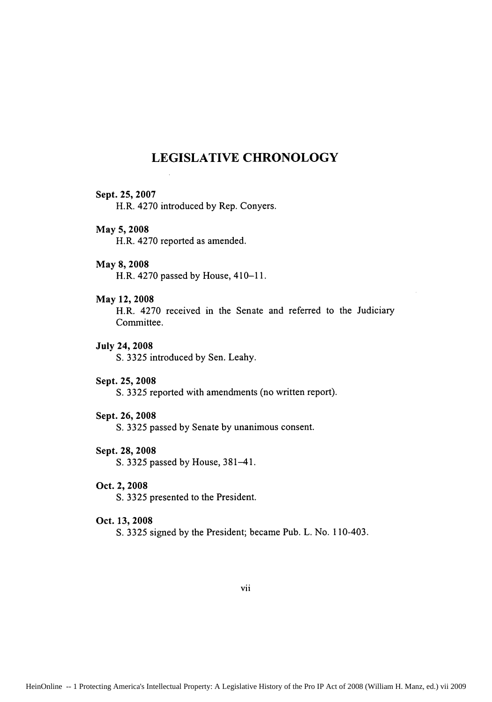# **LEGISLATIVE CHRONOLOGY**

#### Sept. **25, 2007**

H.R. 4270 introduced by Rep. Conyers.

# May 5, 2008

H.R. 4270 reported as amended.

#### May 8, 2008

H.R. 4270 passed by House, 410-11.

# May 12, 2008

H.R. 4270 received in the Senate and referred to the Judiciary Committee.

#### July 24, 2008

S. 3325 introduced by Sen. Leahy.

#### Sept. 25, 2008

S. 3325 reported with amendments (no written report).

### Sept. 26, 2008

S. 3325 passed by Senate by unanimous consent.

#### Sept. 28, 2008

**S.** 3325 passed by House, 381-41.

#### Oct. 2, **2008**

**S. 3325** presented to the President.

#### Oct. **13, 2008**

**S. 3325** signed **by** the President; became Pub. L. No. 110-403.

vii